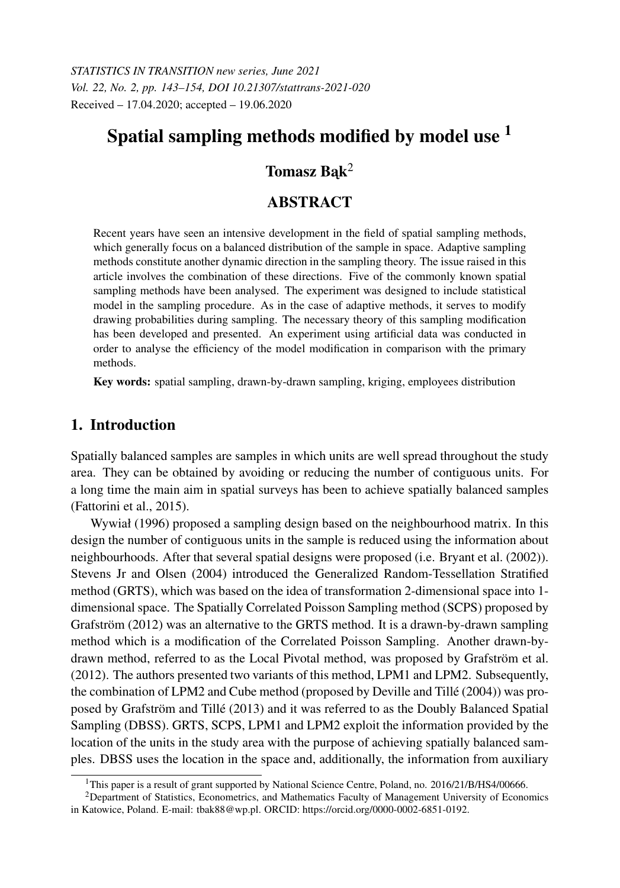*STATISTICS IN TRANSITION new series, June 2021 Vol. 22, No. 2, pp. 143–154, DOI 10.21307/stattrans-2021-020* Received – 17.04.2020; accepted – 19.06.2020

# Spatial sampling methods modified by model use  $<sup>1</sup>$ </sup>

## Tomasz Bak<sup>2</sup>

## **ABSTRACT**

Recent years have seen an intensive development in the field of spatial sampling methods, which generally focus on a balanced distribution of the sample in space. Adaptive sampling methods constitute another dynamic direction in the sampling theory. The issue raised in this article involves the combination of these directions. Five of the commonly known spatial sampling methods have been analysed. The experiment was designed to include statistical model in the sampling procedure. As in the case of adaptive methods, it serves to modify drawing probabilities during sampling. The necessary theory of this sampling modification has been developed and presented. An experiment using artificial data was conducted in order to analyse the efficiency of the model modification in comparison with the primary methods.

Key words: spatial sampling, drawn-by-drawn sampling, kriging, employees distribution

### 1. Introduction

Spatially balanced samples are samples in which units are well spread throughout the study area. They can be obtained by avoiding or reducing the number of contiguous units. For a long time the main aim in spatial surveys has been to achieve spatially balanced samples (Fattorini et al., 2015).

Wywiał (1996) proposed a sampling design based on the neighbourhood matrix. In this design the number of contiguous units in the sample is reduced using the information about neighbourhoods. After that several spatial designs were proposed (i.e. Bryant et al. (2002)). Stevens Jr and Olsen (2004) introduced the Generalized Random-Tessellation Stratified method (GRTS), which was based on the idea of transformation 2-dimensional space into 1 dimensional space. The Spatially Correlated Poisson Sampling method (SCPS) proposed by Grafström (2012) was an alternative to the GRTS method. It is a drawn-by-drawn sampling method which is a modification of the Correlated Poisson Sampling. Another drawn-bydrawn method, referred to as the Local Pivotal method, was proposed by Grafström et al. (2012). The authors presented two variants of this method, LPM1 and LPM2. Subsequently, the combination of LPM2 and Cube method (proposed by Deville and Tillé (2004)) was proposed by Grafström and Tillé (2013) and it was referred to as the Doubly Balanced Spatial Sampling (DBSS). GRTS, SCPS, LPM1 and LPM2 exploit the information provided by the location of the units in the study area with the purpose of achieving spatially balanced samples. DBSS uses the location in the space and, additionally, the information from auxiliary

<sup>&</sup>lt;sup>1</sup>This paper is a result of grant supported by National Science Centre, Poland, no. 2016/21/B/HS4/00666.

<sup>2</sup>Department of Statistics, Econometrics, and Mathematics Faculty of Management University of Economics in Katowice, Poland. E-mail: tbak88@wp.pl. ORCID: https://orcid.org/0000-0002-6851-0192.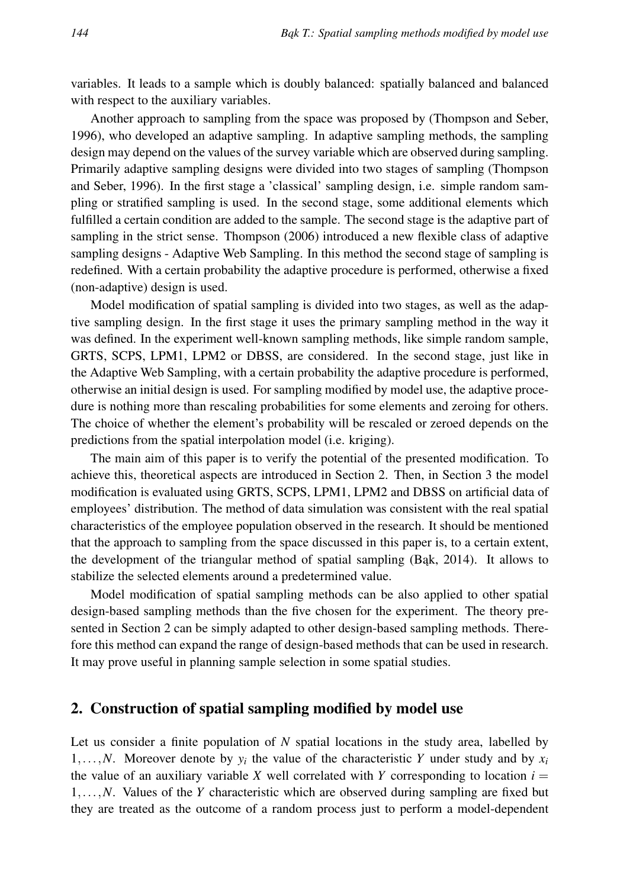variables. It leads to a sample which is doubly balanced: spatially balanced and balanced with respect to the auxiliary variables.

Another approach to sampling from the space was proposed by (Thompson and Seber, 1996), who developed an adaptive sampling. In adaptive sampling methods, the sampling design may depend on the values of the survey variable which are observed during sampling. Primarily adaptive sampling designs were divided into two stages of sampling (Thompson and Seber, 1996). In the first stage a 'classical' sampling design, i.e. simple random sampling or stratified sampling is used. In the second stage, some additional elements which fulfilled a certain condition are added to the sample. The second stage is the adaptive part of sampling in the strict sense. Thompson (2006) introduced a new flexible class of adaptive sampling designs - Adaptive Web Sampling. In this method the second stage of sampling is redefined. With a certain probability the adaptive procedure is performed, otherwise a fixed (non-adaptive) design is used.

Model modification of spatial sampling is divided into two stages, as well as the adaptive sampling design. In the first stage it uses the primary sampling method in the way it was defined. In the experiment well-known sampling methods, like simple random sample, GRTS, SCPS, LPM1, LPM2 or DBSS, are considered. In the second stage, just like in the Adaptive Web Sampling, with a certain probability the adaptive procedure is performed, otherwise an initial design is used. For sampling modified by model use, the adaptive procedure is nothing more than rescaling probabilities for some elements and zeroing for others. The choice of whether the element's probability will be rescaled or zeroed depends on the predictions from the spatial interpolation model (i.e. kriging).

The main aim of this paper is to verify the potential of the presented modification. To achieve this, theoretical aspects are introduced in Section 2. Then, in Section 3 the model modification is evaluated using GRTS, SCPS, LPM1, LPM2 and DBSS on artificial data of employees' distribution. The method of data simulation was consistent with the real spatial characteristics of the employee population observed in the research. It should be mentioned that the approach to sampling from the space discussed in this paper is, to a certain extent, the development of the triangular method of spatial sampling (Bak, 2014). It allows to stabilize the selected elements around a predetermined value.

Model modification of spatial sampling methods can be also applied to other spatial design-based sampling methods than the five chosen for the experiment. The theory presented in Section 2 can be simply adapted to other design-based sampling methods. Therefore this method can expand the range of design-based methods that can be used in research. It may prove useful in planning sample selection in some spatial studies.

#### 2. Construction of spatial sampling modified by model use

Let us consider a finite population of *N* spatial locations in the study area, labelled by 1,...,*N*. Moreover denote by  $y_i$  the value of the characteristic *Y* under study and by  $x_i$ the value of an auxiliary variable *X* well correlated with *Y* corresponding to location  $i =$ 1,...,*N*. Values of the *Y* characteristic which are observed during sampling are fixed but they are treated as the outcome of a random process just to perform a model-dependent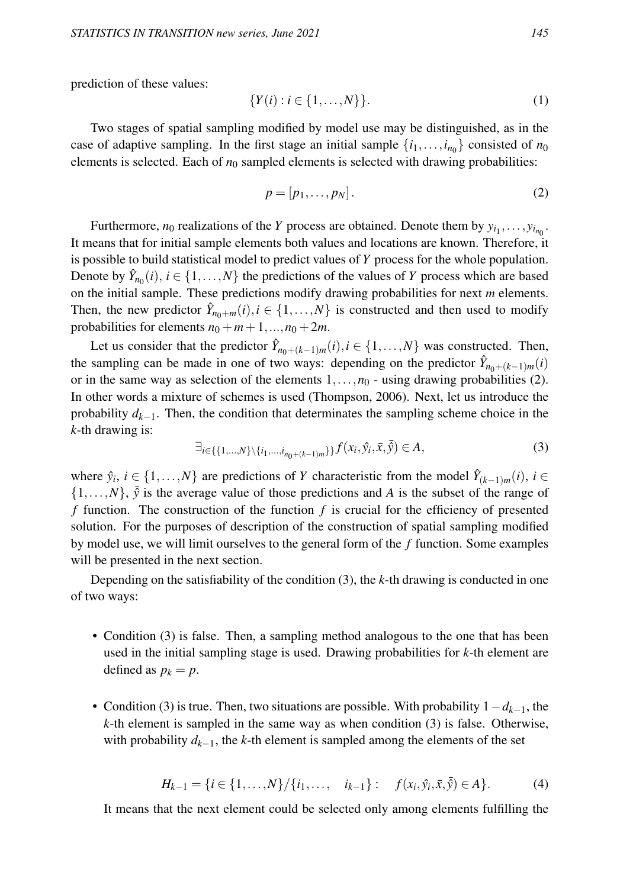prediction of these values:

$$
\{Y(i) : i \in \{1, \dots, N\}\}.
$$
\n(1)

Two stages of spatial sampling modified by model use may be distinguished, as in the case of adaptive sampling. In the first stage an initial sample  $\{i_1, \ldots, i_{n_0}\}$  consisted of  $n_0$ elements is selected. Each of  $n_0$  sampled elements is selected with drawing probabilities:

$$
p = [p_1, \ldots, p_N]. \tag{2}
$$

Furthermore,  $n_0$  realizations of the *Y* process are obtained. Denote them by  $y_{i_1}, \ldots, y_{i_{n_0}}$ . It means that for initial sample elements both values and locations are known. Therefore, it is possible to build statistical model to predict values of *Y* process for the whole population. Denote by  $\hat{Y}_{n_0}(i)$ ,  $i \in \{1, ..., N\}$  the predictions of the values of *Y* process which are based on the initial sample. These predictions modify drawing probabilities for next *m* elements. Then, the new predictor  $\hat{Y}_{n_0+m}(i), i \in \{1,...,N\}$  is constructed and then used to modify probabilities for elements  $n_0 + m + 1, ..., n_0 + 2m$ .

Let us consider that the predictor  $\hat{Y}_{n_0+(k-1)m}(i), i \in \{1, ..., N\}$  was constructed. Then, the sampling can be made in one of two ways: depending on the predictor  $\hat{Y}_{n_0+(k-1)m}(i)$ or in the same way as selection of the elements  $1, \ldots, n_0$  - using drawing probabilities (2). In other words a mixture of schemes is used (Thompson, 2006). Next, let us introduce the probability *dk*−1. Then, the condition that determinates the sampling scheme choice in the *k*-th drawing is:

$$
\exists_{i \in \{\{1,\dots,N\}\setminus\{i_1,\dots,i_{n_0+(k-1)m}\}\}} f(x_i, \hat{y}_i, \bar{x}, \bar{\hat{y}}) \in A,\tag{3}
$$

where  $\hat{y}_i, i \in \{1, ..., N\}$  are predictions of *Y* characteristic from the model  $\hat{Y}_{(k-1)m}(i)$ ,  $i \in$  $\{1,\ldots,N\}$ ,  $\bar{y}$  is the average value of those predictions and *A* is the subset of the range of *f* function. The construction of the function *f* is crucial for the efficiency of presented solution. For the purposes of description of the construction of spatial sampling modified by model use, we will limit ourselves to the general form of the *f* function. Some examples will be presented in the next section.

Depending on the satisfiability of the condition (3), the *k*-th drawing is conducted in one of two ways:

- Condition (3) is false. Then, a sampling method analogous to the one that has been used in the initial sampling stage is used. Drawing probabilities for *k*-th element are defined as  $p_k = p$ .
- Condition (3) is true. Then, two situations are possible. With probability 1−*dk*−1, the *k*-th element is sampled in the same way as when condition (3) is false. Otherwise, with probability  $d_{k-1}$ , the *k*-th element is sampled among the elements of the set

$$
H_{k-1} = \{i \in \{1, \ldots, N\} / \{i_1, \ldots, i_{k-1}\}: f(x_i, \hat{y}_i, \bar{x}, \bar{\hat{y}}) \in A\}.
$$
 (4)

It means that the next element could be selected only among elements fulfilling the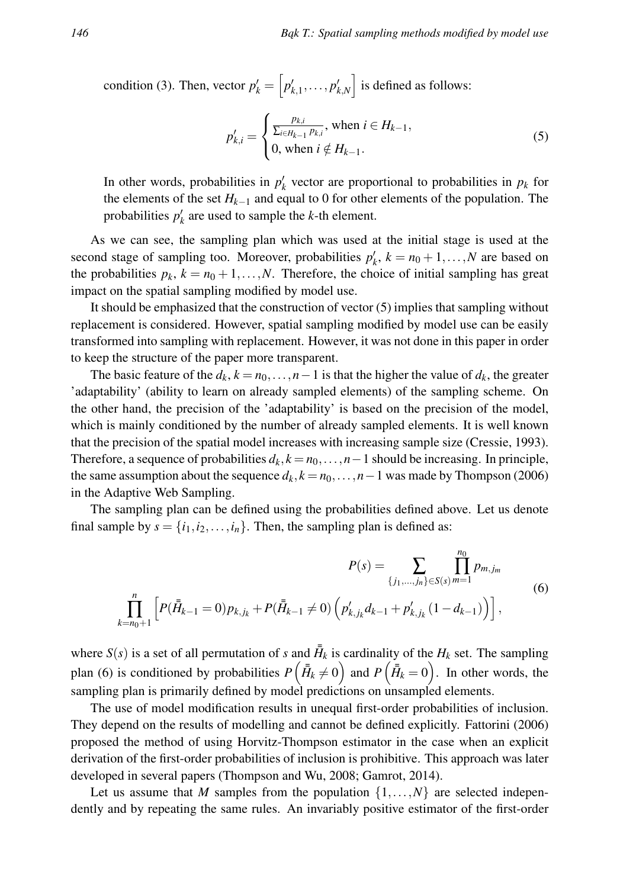condition (3). Then, vector  $p'_{k} = \begin{bmatrix} p'_{k,1}, \dots, p'_{k,N} \end{bmatrix}$  is defined as follows:

$$
p'_{k,i} = \begin{cases} \frac{p_{k,i}}{\sum_{i \in H_{k-1}} p_{k,i}}, \text{ when } i \in H_{k-1}, \\ 0, \text{ when } i \notin H_{k-1}. \end{cases}
$$
 (5)

In other words, probabilities in  $p'_k$  vector are proportional to probabilities in  $p_k$  for the elements of the set *Hk*−<sup>1</sup> and equal to 0 for other elements of the population. The probabilities  $p'_k$  are used to sample the *k*-th element.

As we can see, the sampling plan which was used at the initial stage is used at the second stage of sampling too. Moreover, probabilities  $p'_k$ ,  $k = n_0 + 1, ..., N$  are based on the probabilities  $p_k$ ,  $k = n_0 + 1, \ldots, N$ . Therefore, the choice of initial sampling has great impact on the spatial sampling modified by model use.

It should be emphasized that the construction of vector (5) implies that sampling without replacement is considered. However, spatial sampling modified by model use can be easily transformed into sampling with replacement. However, it was not done in this paper in order to keep the structure of the paper more transparent.

The basic feature of the  $d_k$ ,  $k = n_0, \ldots, n-1$  is that the higher the value of  $d_k$ , the greater 'adaptability' (ability to learn on already sampled elements) of the sampling scheme. On the other hand, the precision of the 'adaptability' is based on the precision of the model, which is mainly conditioned by the number of already sampled elements. It is well known that the precision of the spatial model increases with increasing sample size (Cressie, 1993). Therefore, a sequence of probabilities  $d_k$ ,  $k = n_0, \ldots, n-1$  should be increasing. In principle, the same assumption about the sequence  $d_k$ ,  $k = n_0, \ldots, n-1$  was made by Thompson (2006) in the Adaptive Web Sampling.

The sampling plan can be defined using the probabilities defined above. Let us denote final sample by  $s = \{i_1, i_2, \ldots, i_n\}$ . Then, the sampling plan is defined as:

$$
P(s) = \sum_{\{j_1,\dots,j_n\} \in S(s)} \prod_{m=1}^{n_0} p_{m,j_m}
$$
  

$$
\prod_{k=n_0+1}^n \left[ P(\bar{H}_{k-1}=0) p_{k,j_k} + P(\bar{H}_{k-1} \neq 0) \left( p'_{k,j_k} d_{k-1} + p'_{k,j_k} (1 - d_{k-1}) \right) \right],
$$
 (6)

where  $S(s)$  is a set of all permutation of *s* and  $\overline{H}_k$  is cardinality of the  $H_k$  set. The sampling plan (6) is conditioned by probabilities  $P(\bar{H}_k \neq 0)$  and  $P(\bar{H}_k = 0)$ . In other words, the sampling plan is primarily defined by model predictions on unsampled elements.

The use of model modification results in unequal first-order probabilities of inclusion. They depend on the results of modelling and cannot be defined explicitly. Fattorini (2006) proposed the method of using Horvitz-Thompson estimator in the case when an explicit derivation of the first-order probabilities of inclusion is prohibitive. This approach was later developed in several papers (Thompson and Wu, 2008; Gamrot, 2014).

Let us assume that *M* samples from the population  $\{1, \ldots, N\}$  are selected independently and by repeating the same rules. An invariably positive estimator of the first-order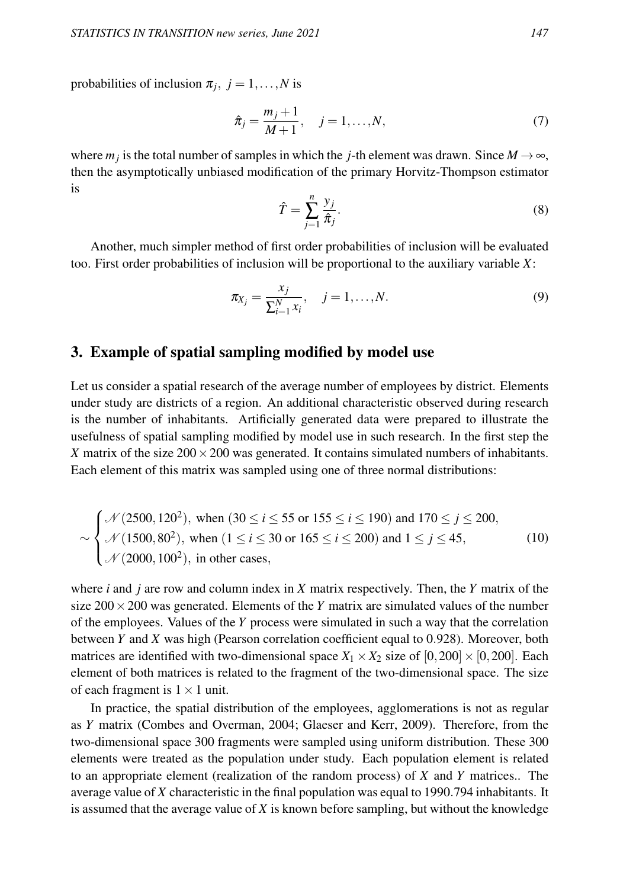probabilities of inclusion  $\pi_j$ ,  $j = 1, \ldots, N$  is

$$
\hat{\pi}_j = \frac{m_j + 1}{M + 1}, \quad j = 1, ..., N,
$$
\n(7)

where  $m_j$  is the total number of samples in which the *j*-th element was drawn. Since  $M \to \infty$ , then the asymptotically unbiased modification of the primary Horvitz-Thompson estimator is

$$
\hat{T} = \sum_{j=1}^{n} \frac{y_j}{\hat{\pi}_j}.\tag{8}
$$

Another, much simpler method of first order probabilities of inclusion will be evaluated too. First order probabilities of inclusion will be proportional to the auxiliary variable *X*:

$$
\pi_{X_j} = \frac{x_j}{\sum_{i=1}^N x_i}, \quad j = 1, ..., N.
$$
\n(9)

#### 3. Example of spatial sampling modified by model use

Let us consider a spatial research of the average number of employees by district. Elements under study are districts of a region. An additional characteristic observed during research is the number of inhabitants. Artificially generated data were prepared to illustrate the usefulness of spatial sampling modified by model use in such research. In the first step the *X* matrix of the size  $200 \times 200$  was generated. It contains simulated numbers of inhabitants. Each element of this matrix was sampled using one of three normal distributions:

$$
\sim \begin{cases}\n\mathcal{N}(2500, 120^2), \text{ when } (30 \le i \le 55 \text{ or } 155 \le i \le 190) \text{ and } 170 \le j \le 200, \\
\mathcal{N}(1500, 80^2), \text{ when } (1 \le i \le 30 \text{ or } 165 \le i \le 200) \text{ and } 1 \le j \le 45, \\
\mathcal{N}(2000, 100^2), \text{ in other cases,}\n\end{cases}
$$
\n(10)

where *i* and *j* are row and column index in *X* matrix respectively. Then, the *Y* matrix of the size  $200 \times 200$  was generated. Elements of the *Y* matrix are simulated values of the number of the employees. Values of the *Y* process were simulated in such a way that the correlation between *Y* and *X* was high (Pearson correlation coefficient equal to 0.928). Moreover, both matrices are identified with two-dimensional space  $X_1 \times X_2$  size of [0,200]  $\times$  [0,200]. Each element of both matrices is related to the fragment of the two-dimensional space. The size of each fragment is  $1 \times 1$  unit.

In practice, the spatial distribution of the employees, agglomerations is not as regular as *Y* matrix (Combes and Overman, 2004; Glaeser and Kerr, 2009). Therefore, from the two-dimensional space 300 fragments were sampled using uniform distribution. These 300 elements were treated as the population under study. Each population element is related to an appropriate element (realization of the random process) of *X* and *Y* matrices.. The average value of *X* characteristic in the final population was equal to 1990.794 inhabitants. It is assumed that the average value of *X* is known before sampling, but without the knowledge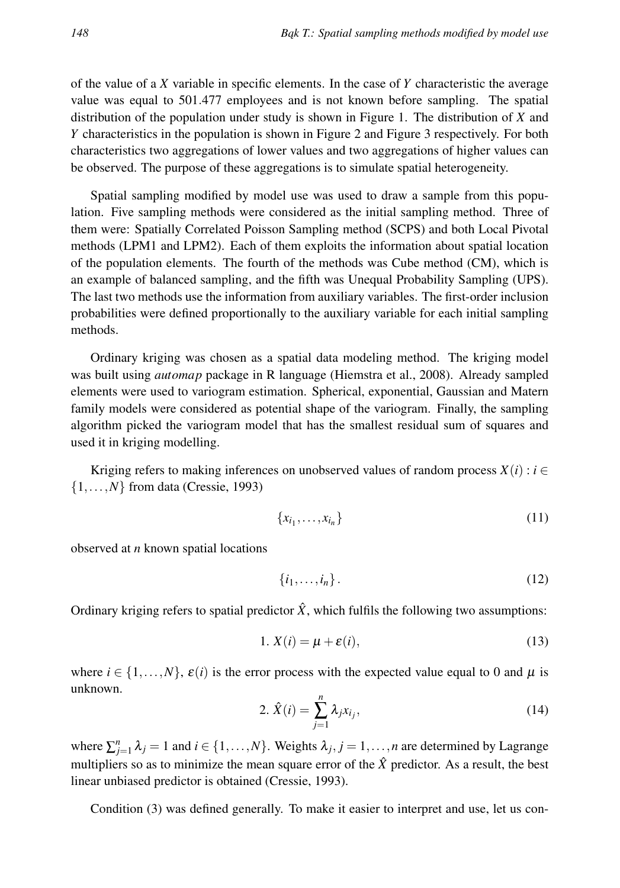of the value of a *X* variable in specific elements. In the case of *Y* characteristic the average value was equal to 501.477 employees and is not known before sampling. The spatial distribution of the population under study is shown in Figure 1. The distribution of *X* and *Y* characteristics in the population is shown in Figure 2 and Figure 3 respectively. For both characteristics two aggregations of lower values and two aggregations of higher values can be observed. The purpose of these aggregations is to simulate spatial heterogeneity.

Spatial sampling modified by model use was used to draw a sample from this population. Five sampling methods were considered as the initial sampling method. Three of them were: Spatially Correlated Poisson Sampling method (SCPS) and both Local Pivotal methods (LPM1 and LPM2). Each of them exploits the information about spatial location of the population elements. The fourth of the methods was Cube method (CM), which is an example of balanced sampling, and the fifth was Unequal Probability Sampling (UPS). The last two methods use the information from auxiliary variables. The first-order inclusion probabilities were defined proportionally to the auxiliary variable for each initial sampling methods.

Ordinary kriging was chosen as a spatial data modeling method. The kriging model was built using *automap* package in R language (Hiemstra et al., 2008). Already sampled elements were used to variogram estimation. Spherical, exponential, Gaussian and Matern family models were considered as potential shape of the variogram. Finally, the sampling algorithm picked the variogram model that has the smallest residual sum of squares and used it in kriging modelling.

Kriging refers to making inferences on unobserved values of random process  $X(i) : i \in$ {1,...,*N*} from data (Cressie, 1993)

$$
\{x_{i_1},\ldots,x_{i_n}\}\tag{11}
$$

observed at *n* known spatial locations

$$
\{i_1,\ldots,i_n\}.\tag{12}
$$

Ordinary kriging refers to spatial predictor  $\hat{X}$ , which fulfils the following two assumptions:

$$
1. X(i) = \mu + \varepsilon(i), \tag{13}
$$

where  $i \in \{1, \ldots, N\}$ ,  $\varepsilon(i)$  is the error process with the expected value equal to 0 and  $\mu$  is unknown.

$$
2. \hat{X}(i) = \sum_{j=1}^{n} \lambda_j x_{i_j}, \qquad (14)
$$

where  $\sum_{j=1}^{n} \lambda_j = 1$  and  $i \in \{1, ..., N\}$ . Weights  $\lambda_j, j = 1, ..., n$  are determined by Lagrange multipliers so as to minimize the mean square error of the  $\hat{X}$  predictor. As a result, the best linear unbiased predictor is obtained (Cressie, 1993).

Condition (3) was defined generally. To make it easier to interpret and use, let us con-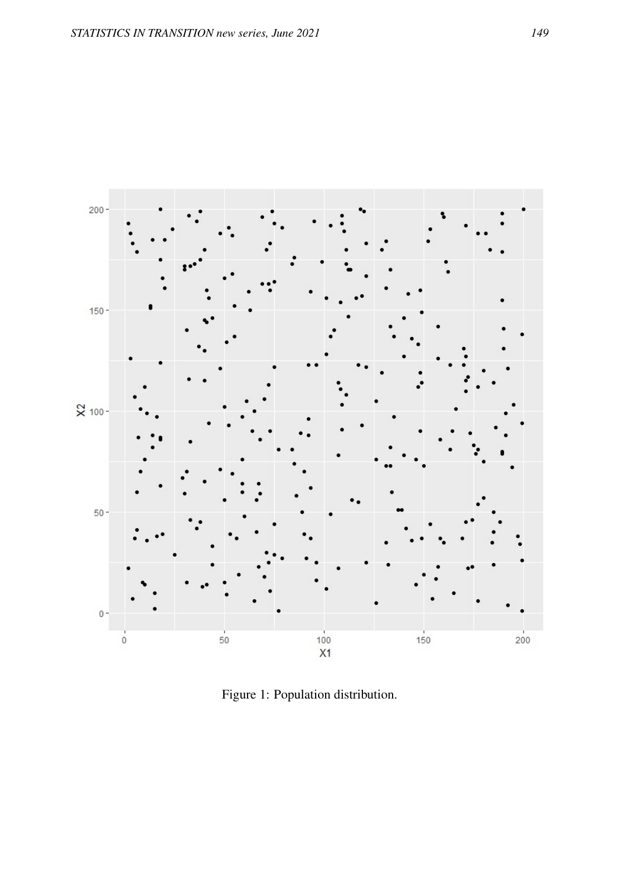

Figure 1: Population distribution.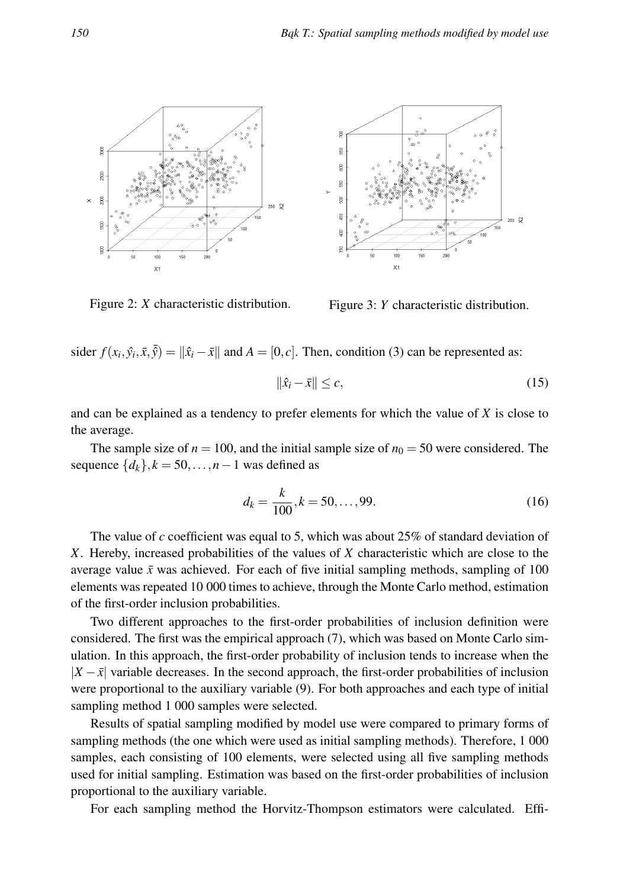

Figure 2: *X* characteristic distribution. Figure 3: *Y* characteristic distribution.



sider  $f(x_i, \hat{y}_i, \bar{x}, \bar{\hat{y}}) = ||\hat{x}_i - \bar{x}||$  and  $A = [0, c]$ . Then, condition (3) can be represented as:

$$
\|\hat{x}_i - \bar{x}\| \le c,\tag{15}
$$

and can be explained as a tendency to prefer elements for which the value of *X* is close to the average.

The sample size of  $n = 100$ , and the initial sample size of  $n_0 = 50$  were considered. The sequence  $\{d_k\}$ ,  $k = 50$ , ..., *n* − 1 was defined as

$$
d_k = \frac{k}{100}, k = 50, \dots, 99.
$$
 (16)

The value of *c* coefficient was equal to 5, which was about 25% of standard deviation of *X*. Hereby, increased probabilities of the values of *X* characteristic which are close to the average value  $\bar{x}$  was achieved. For each of five initial sampling methods, sampling of 100 elements was repeated 10 000 times to achieve, through the Monte Carlo method, estimation of the first-order inclusion probabilities.

Two different approaches to the first-order probabilities of inclusion definition were considered. The first was the empirical approach (7), which was based on Monte Carlo simulation. In this approach, the first-order probability of inclusion tends to increase when the  $|X - \bar{x}|$  variable decreases. In the second approach, the first-order probabilities of inclusion were proportional to the auxiliary variable (9). For both approaches and each type of initial sampling method 1 000 samples were selected.

Results of spatial sampling modified by model use were compared to primary forms of sampling methods (the one which were used as initial sampling methods). Therefore, 1 000 samples, each consisting of 100 elements, were selected using all five sampling methods used for initial sampling. Estimation was based on the first-order probabilities of inclusion proportional to the auxiliary variable.

For each sampling method the Horvitz-Thompson estimators were calculated. Effi-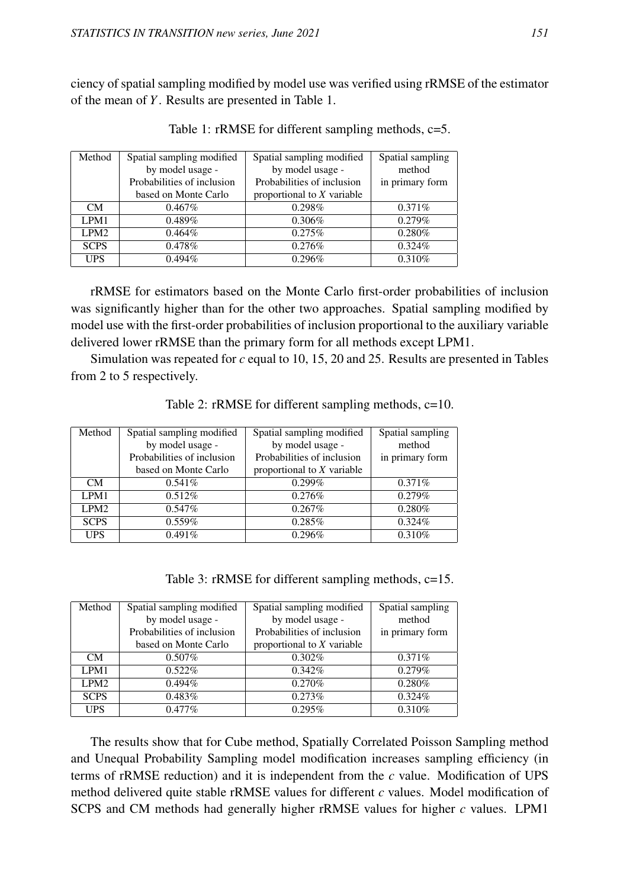ciency of spatial sampling modified by model use was verified using rRMSE of the estimator of the mean of *Y*. Results are presented in Table 1.

| Method           | Spatial sampling modified  | Spatial sampling modified    | Spatial sampling |
|------------------|----------------------------|------------------------------|------------------|
|                  | by model usage -           | by model usage -             | method           |
|                  | Probabilities of inclusion | Probabilities of inclusion   | in primary form  |
|                  | based on Monte Carlo       | proportional to $X$ variable |                  |
| <b>CM</b>        | $0.467\%$                  | 0.298%                       | 0.371%           |
| LPM1             | 0.489%                     | 0.306%                       | 0.279%           |
| LPM <sub>2</sub> | 0.464%                     | 0.275%                       | 0.280%           |
| <b>SCPS</b>      | 0.478%                     | 0.276%                       | 0.324%           |
| <b>UPS</b>       | $0.494\%$                  | 0.296%                       | 0.310%           |

Table 1: rRMSE for different sampling methods, c=5.

rRMSE for estimators based on the Monte Carlo first-order probabilities of inclusion was significantly higher than for the other two approaches. Spatial sampling modified by model use with the first-order probabilities of inclusion proportional to the auxiliary variable delivered lower rRMSE than the primary form for all methods except LPM1.

Simulation was repeated for *c* equal to 10, 15, 20 and 25. Results are presented in Tables from 2 to 5 respectively.

| Method           | Spatial sampling modified  | Spatial sampling modified    | Spatial sampling |
|------------------|----------------------------|------------------------------|------------------|
|                  | by model usage -           | by model usage -             | method           |
|                  | Probabilities of inclusion | Probabilities of inclusion   | in primary form  |
|                  | based on Monte Carlo       | proportional to $X$ variable |                  |
| CM               | 0.541%                     | 0.299%                       | 0.371%           |
| LPM1             | 0.512%                     | 0.276%                       | 0.279%           |
| LPM <sub>2</sub> | 0.547%                     | $0.267\%$                    | 0.280%           |
| <b>SCPS</b>      | 0.559%                     | 0.285%                       | 0.324%           |
| <b>UPS</b>       | 0.491%                     | 0.296%                       | 0.310%           |

Table 2: rRMSE for different sampling methods, c=10.

Table 3: rRMSE for different sampling methods, c=15.

| Method           | Spatial sampling modified  | Spatial sampling modified    | Spatial sampling |
|------------------|----------------------------|------------------------------|------------------|
|                  | by model usage -           | by model usage -             | method           |
|                  | Probabilities of inclusion | Probabilities of inclusion   | in primary form  |
|                  | based on Monte Carlo       | proportional to $X$ variable |                  |
| CM.              | $0.507\%$                  | 0.302%                       | 0.371%           |
| LPM1             | 0.522%                     | 0.342%                       | 0.279%           |
| LPM <sub>2</sub> | $0.494\%$                  | 0.270%                       | 0.280%           |
| <b>SCPS</b>      | 0.483%                     | 0.273%                       | $0.324\%$        |
| <b>UPS</b>       | $0.477\%$                  | 0.295%                       | 0.310%           |

The results show that for Cube method, Spatially Correlated Poisson Sampling method and Unequal Probability Sampling model modification increases sampling efficiency (in terms of rRMSE reduction) and it is independent from the *c* value. Modification of UPS method delivered quite stable rRMSE values for different *c* values. Model modification of SCPS and CM methods had generally higher rRMSE values for higher *c* values. LPM1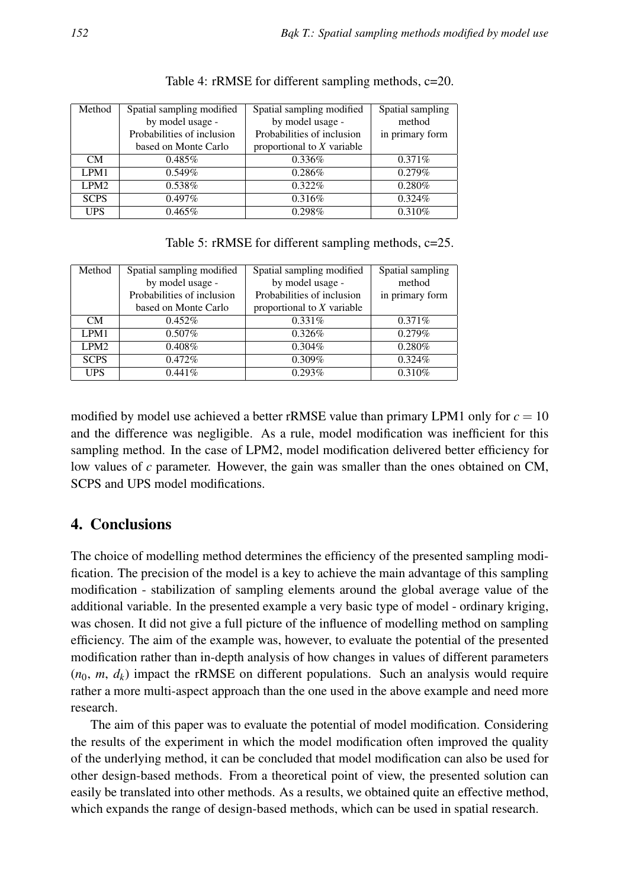| Method           | Spatial sampling modified  | Spatial sampling modified    | Spatial sampling |
|------------------|----------------------------|------------------------------|------------------|
|                  | by model usage -           | by model usage -             | method           |
|                  | Probabilities of inclusion | Probabilities of inclusion   | in primary form  |
|                  | based on Monte Carlo       | proportional to $X$ variable |                  |
| CM.              | $0.485\%$                  | 0.336%                       | 0.371%           |
| LPM1             | 0.549%                     | 0.286%                       | 0.279%           |
| LPM <sub>2</sub> | 0.538%                     | $0.322\%$                    | 0.280%           |
| <b>SCPS</b>      | $0.497\%$                  | 0.316%                       | 0.324%           |
| <b>UPS</b>       | $0.465\%$                  | 0.298%                       | 0.310%           |

Table 4: rRMSE for different sampling methods, c=20.

Table 5: rRMSE for different sampling methods, c=25.

| Method           | Spatial sampling modified  | Spatial sampling modified    | Spatial sampling |
|------------------|----------------------------|------------------------------|------------------|
|                  | by model usage -           | by model usage -             | method           |
|                  | Probabilities of inclusion | Probabilities of inclusion   | in primary form  |
|                  | based on Monte Carlo       | proportional to $X$ variable |                  |
| CM.              | 0.452%                     | 0.331%                       | $0.371\%$        |
| LPM1             | $0.507\%$                  | 0.326%                       | 0.279%           |
| LPM <sub>2</sub> | $0.408\%$                  | $0.304\%$                    | 0.280%           |
| <b>SCPS</b>      | 0.472%                     | 0.309%                       | 0.324%           |
| <b>UPS</b>       | 0.441%                     | 0.293%                       | 0.310%           |

modified by model use achieved a better rRMSE value than primary LPM1 only for  $c = 10$ and the difference was negligible. As a rule, model modification was inefficient for this sampling method. In the case of LPM2, model modification delivered better efficiency for low values of *c* parameter. However, the gain was smaller than the ones obtained on CM, SCPS and UPS model modifications.

## 4. Conclusions

The choice of modelling method determines the efficiency of the presented sampling modification. The precision of the model is a key to achieve the main advantage of this sampling modification - stabilization of sampling elements around the global average value of the additional variable. In the presented example a very basic type of model - ordinary kriging, was chosen. It did not give a full picture of the influence of modelling method on sampling efficiency. The aim of the example was, however, to evaluate the potential of the presented modification rather than in-depth analysis of how changes in values of different parameters  $(n_0, m, d_k)$  impact the rRMSE on different populations. Such an analysis would require rather a more multi-aspect approach than the one used in the above example and need more research.

The aim of this paper was to evaluate the potential of model modification. Considering the results of the experiment in which the model modification often improved the quality of the underlying method, it can be concluded that model modification can also be used for other design-based methods. From a theoretical point of view, the presented solution can easily be translated into other methods. As a results, we obtained quite an effective method, which expands the range of design-based methods, which can be used in spatial research.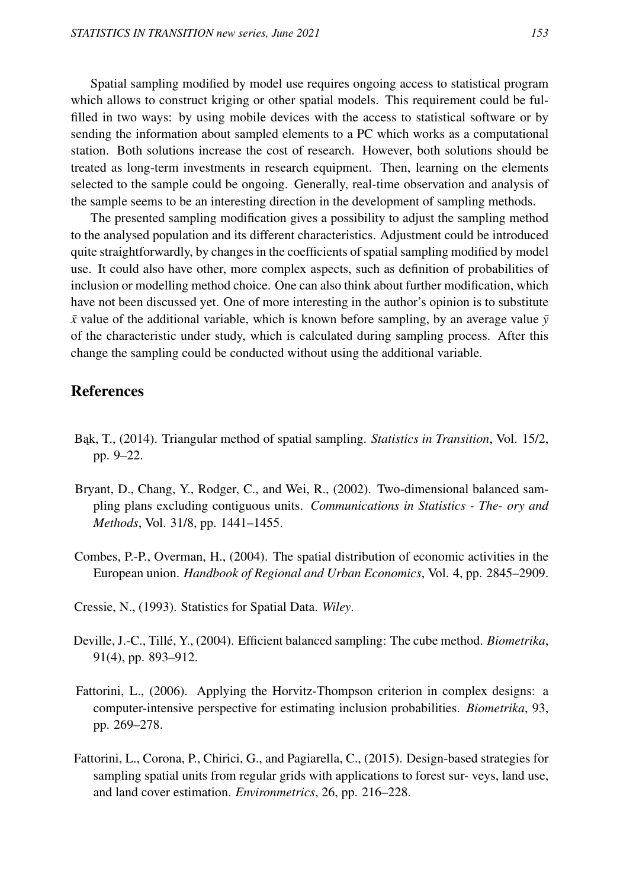Spatial sampling modified by model use requires ongoing access to statistical program which allows to construct kriging or other spatial models. This requirement could be fulfilled in two ways: by using mobile devices with the access to statistical software or by sending the information about sampled elements to a PC which works as a computational station. Both solutions increase the cost of research. However, both solutions should be treated as long-term investments in research equipment. Then, learning on the elements selected to the sample could be ongoing. Generally, real-time observation and analysis of the sample seems to be an interesting direction in the development of sampling methods.

The presented sampling modification gives a possibility to adjust the sampling method to the analysed population and its different characteristics. Adjustment could be introduced quite straightforwardly, by changes in the coefficients of spatial sampling modified by model use. It could also have other, more complex aspects, such as definition of probabilities of inclusion or modelling method choice. One can also think about further modification, which have not been discussed yet. One of more interesting in the author's opinion is to substitute  $\bar{x}$  value of the additional variable, which is known before sampling, by an average value  $\bar{y}$ of the characteristic under study, which is calculated during sampling process. After this change the sampling could be conducted without using the additional variable.

### References

- B ˛ak, T., (2014). Triangular method of spatial sampling. *Statistics in Transition*, Vol. 15/2, pp. 9–22.
- Bryant, D., Chang, Y., Rodger, C., and Wei, R., (2002). Two-dimensional balanced sampling plans excluding contiguous units. *Communications in Statistics - The- ory and Methods*, Vol. 31/8, pp. 1441–1455.
- Combes, P.-P., Overman, H., (2004). The spatial distribution of economic activities in the European union. *Handbook of Regional and Urban Economics*, Vol. 4, pp. 2845–2909.
- Cressie, N., (1993). Statistics for Spatial Data. *Wiley*.
- Deville, J.-C., Tillé, Y., (2004). Efficient balanced sampling: The cube method. *Biometrika*, 91(4), pp. 893–912.
- Fattorini, L., (2006). Applying the Horvitz-Thompson criterion in complex designs: a computer-intensive perspective for estimating inclusion probabilities. *Biometrika*, 93, pp. 269–278.
- Fattorini, L., Corona, P., Chirici, G., and Pagiarella, C., (2015). Design-based strategies for sampling spatial units from regular grids with applications to forest sur- veys, land use, and land cover estimation. *Environmetrics*, 26, pp. 216–228.